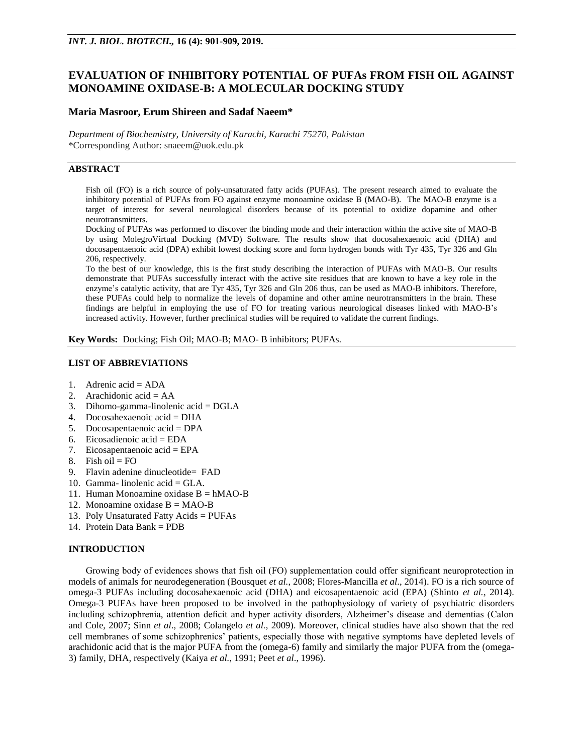# **EVALUATION OF INHIBITORY POTENTIAL OF PUFAs FROM FISH OIL AGAINST MONOAMINE OXIDASE-B: A MOLECULAR DOCKING STUDY**

### **Maria Masroor, Erum Shireen and Sadaf Naeem\***

*Department of Biochemistry, University of Karachi, Karachi 75270, Pakistan* \*Corresponding Author: snaeem@uok.edu.pk

### **ABSTRACT**

Fish oil (FO) is a rich source of poly-unsaturated fatty acids (PUFAs). The present research aimed to evaluate the inhibitory potential of PUFAs from FO against enzyme monoamine oxidase B (MAO-B). The MAO-B enzyme is a target of interest for several neurological disorders because of its potential to oxidize dopamine and other neurotransmitters.

Docking of PUFAs was performed to discover the binding mode and their interaction within the active site of MAO-B by using MolegroVirtual Docking (MVD) Software. The results show that docosahexaenoic acid (DHA) and docosapentaenoic acid (DPA) exhibit lowest docking score and form hydrogen bonds with Tyr 435, Tyr 326 and Gln 206, respectively.

To the best of our knowledge, this is the first study describing the interaction of PUFAs with MAO-B. Our results demonstrate that PUFAs successfully interact with the active site residues that are known to have a key role in the enzyme's catalytic activity, that are Tyr 435, Tyr 326 and Gln 206 thus, can be used as MAO-B inhibitors. Therefore, these PUFAs could help to normalize the levels of dopamine and other amine neurotransmitters in the brain. These findings are helpful in employing the use of FO for treating various neurological diseases linked with MAO-B's increased activity. However, further preclinical studies will be required to validate the current findings.

**Key Words:** Docking; Fish Oil; MAO-B; MAO- B inhibitors; PUFAs.

## **LIST OF ABBREVIATIONS**

- 1. Adrenic acid = ADA
- 2. Arachidonic acid  $= AA$
- 3. Dihomo-gamma-linolenic acid = DGLA
- 4. Docosahexaenoic acid = DHA
- 5. Docosapentaenoic acid = DPA
- 6. Eicosadienoic acid = EDA
- 7. Eicosapentaenoic acid = EPA
- 8. Fish oil =  $FO$
- 9. Flavin adenine dinucleotide= FAD
- 10. Gamma- linolenic acid  $= GLA$ .
- 11. Human Monoamine oxidase  $B = hMAO-B$
- 12. Monoamine oxidase  $B = MAO-B$
- 13. Poly Unsaturated Fatty Acids = PUFAs
- 14. Protein Data Bank = PDB

### **INTRODUCTION**

Growing body of evidences shows that fish oil (FO) supplementation could offer significant neuroprotection in models of animals for neurodegeneration (Bousquet *et al.*, 2008; Flores-Mancilla *et al*., 2014). FO is a rich source of omega-3 PUFAs including docosahexaenoic acid (DHA) and eicosapentaenoic acid (EPA) (Shinto *et al.*, 2014). Omega-3 PUFAs have been proposed to be involved in the pathophysiology of variety of psychiatric disorders including schizophrenia, attention deficit and hyper activity disorders, Alzheimer's disease and dementias (Calon and Cole, 2007; Sinn *et al*., 2008; Colangelo *et al.*, 2009). Moreover, clinical studies have also shown that the red cell membranes of some schizophrenics' patients, especially those with negative symptoms have depleted levels of arachidonic acid that is the major PUFA from the (omega-6) family and similarly the major PUFA from the (omega-3) family, DHA, respectively (Kaiya *et al.*, 1991; Peet *et al*., 1996).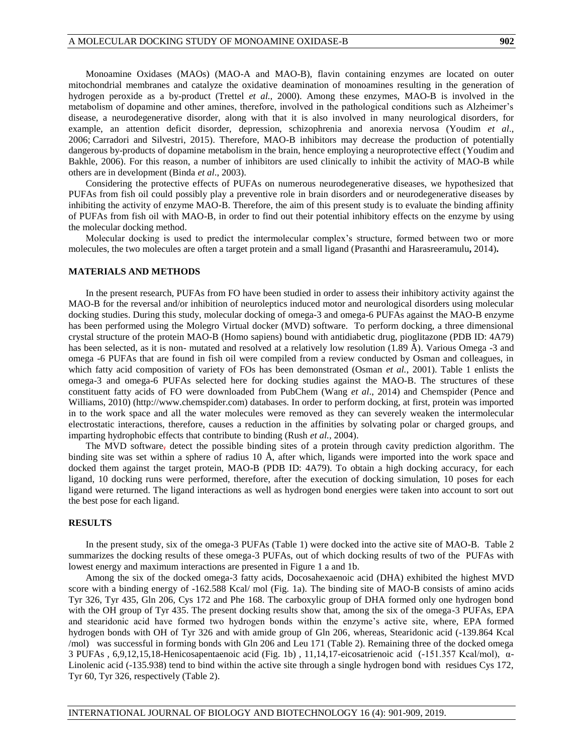Monoamine Oxidases (MAOs) (MAO-A and MAO-B), flavin containing enzymes are located on outer mitochondrial membranes and catalyze the oxidative deamination of monoamines resulting in the generation of hydrogen peroxide as a by-product (Trettel *et al.,* 2000). Among these enzymes, MAO-B is involved in the metabolism of dopamine and other amines, therefore, involved in the pathological conditions such as Alzheimer's disease, a neurodegenerative disorder, along with that it is also involved in many neurological disorders, for example, an attention deficit disorder, depression, schizophrenia and anorexia nervosa [\(Youdim](https://www.frontiersin.org/articles/10.3389/fchem.2018.00041/full#B57) *et al*., [2006;](https://www.frontiersin.org/articles/10.3389/fchem.2018.00041/full#B57) [Carradori and Silvestri, 2015\)](https://www.frontiersin.org/articles/10.3389/fchem.2018.00041/full#B6). Therefore, MAO-B inhibitors may decrease the production of potentially dangerous by-products of dopamine metabolism in the brain, hence employing a neuroprotective effect (Youdim and Bakhle, 2006). For this reason, a number of inhibitors are used clinically to inhibit the activity of MAO-B while others are in development (Binda *et al*., 2003).

Considering the protective effects of PUFAs on numerous neurodegenerative diseases, we hypothesized that PUFAs from fish oil could possibly play a preventive role in brain disorders and or neurodegenerative diseases by inhibiting the activity of enzyme MAO-B. Therefore, the aim of this present study is to evaluate the binding affinity of PUFAs from fish oil with MAO-B, in order to find out their potential inhibitory effects on the enzyme by using the molecular docking method.

Molecular docking is used to predict the intermolecular complex's structure, formed between two or more molecules, the two molecules are often a target protein and a small ligand (Prasanthi and Harasreeramulu**,** 2014)**.**

#### **MATERIALS AND METHODS**

In the present research, PUFAs from FO have been studied in order to assess their inhibitory activity against the MAO-B for the reversal and/or inhibition of neuroleptics induced motor and neurological disorders using molecular docking studies. During this study, molecular docking of omega-3 and omega-6 PUFAs against the MAO-B enzyme has been performed using the Molegro Virtual docker (MVD) software. To perform docking, a three dimensional crystal structure of the protein MAO-B (Homo sapiens) bound with antidiabetic drug, pioglitazone (PDB ID: 4A79) has been selected, as it is non- mutated and resolved at a relatively low resolution (1.89 Å). Various Omega -3 and omega -6 PUFAs that are found in fish oil were compiled from a review conducted by Osman and colleagues, in which fatty acid composition of variety of FOs has been demonstrated (Osman *et al.*, 2001). Table 1 enlists the omega-3 and omega-6 PUFAs selected here for docking studies against the MAO-B. The structures of these constituent fatty acids of FO were downloaded from PubChem (Wang *et al*., 2014) and Chemspider (Pence and Williams, 2010) [\(http://www.chemspider.com\)](http://www.chemspider.com/) databases. In order to perform docking, at first, protein was imported in to the work space and all the water molecules were removed as they can severely weaken the intermolecular electrostatic interactions, therefore, causes a reduction in the affinities by solvating polar or charged groups, and imparting hydrophobic effects that contribute to binding (Rush *et al.*, 2004).

The MVD software, detect the possible binding sites of a protein through cavity prediction algorithm. The binding site was set within a sphere of radius 10 Å, after which, ligands were imported into the work space and docked them against the target protein, MAO-B (PDB ID: 4A79). To obtain a high docking accuracy, for each ligand, 10 docking runs were performed, therefore, after the execution of docking simulation, 10 poses for each ligand were returned. The ligand interactions as well as hydrogen bond energies were taken into account to sort out the best pose for each ligand.

### **RESULTS**

In the present study, six of the omega-3 PUFAs (Table 1) were docked into the active site of MAO-B. Table 2 summarizes the docking results of these omega-3 PUFAs, out of which docking results of two of the PUFAs with lowest energy and maximum interactions are presented in Figure 1 a and 1b.

Among the six of the docked omega-3 fatty acids, Docosahexaenoic acid (DHA) exhibited the highest MVD score with a binding energy of -162.588 Kcal/ mol (Fig. 1a). The binding site of MAO-B consists of amino acids Tyr 326, Tyr 435, Gln 206, Cys 172 and Phe 168. The carboxylic group of DHA formed only one hydrogen bond with the OH group of Tyr 435. The present docking results show that, among the six of the omega-3 PUFAs, EPA and stearidonic acid have formed two hydrogen bonds within the enzyme's active site, where, EPA formed hydrogen bonds with OH of Tyr 326 and with amide group of Gln 206, whereas, Stearidonic acid (-139.864 Kcal /mol) was successful in forming bonds with Gln 206 and Leu 171 (Table 2). Remaining three of the docked omega 3 PUFAs , 6,9,12,15,18-Henicosapentaenoic acid (Fig. 1b) , 11,14,17-eicosatrienoic acid (-151.357 Kcal/mol), α-Linolenic acid (-135.938) tend to bind within the active site through a single hydrogen bond with residues Cys 172, Tyr 60, Tyr 326, respectively (Table 2).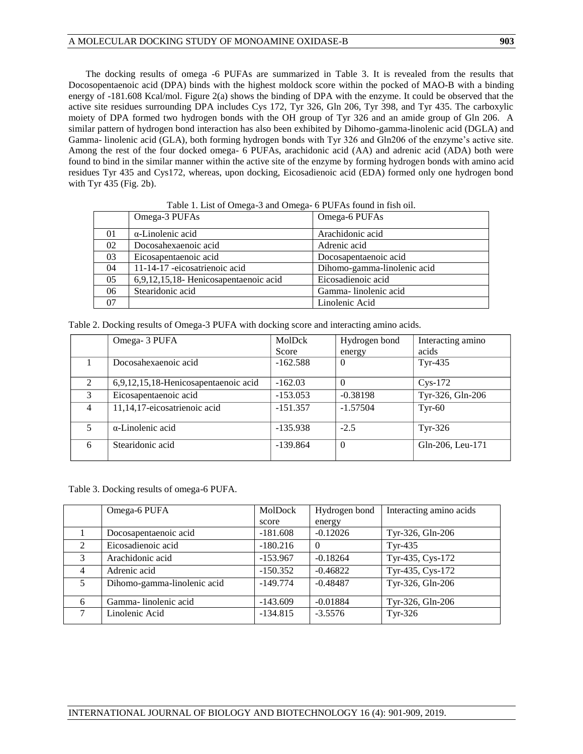The docking results of omega -6 PUFAs are summarized in Table 3. It is revealed from the results that Docosopentaenoic acid (DPA) binds with the highest moldock score within the pocked of MAO-B with a binding energy of -181.608 Kcal/mol. Figure 2(a) shows the binding of DPA with the enzyme. It could be observed that the active site residues surrounding DPA includes Cys 172, Tyr 326, Gln 206, Tyr 398, and Tyr 435. The carboxylic moiety of DPA formed two hydrogen bonds with the OH group of Tyr 326 and an amide group of Gln 206. A similar pattern of hydrogen bond interaction has also been exhibited by Dihomo-gamma-linolenic acid (DGLA) and Gamma- linolenic acid (GLA), both forming hydrogen bonds with Tyr 326 and Gln206 of the enzyme's active site. Among the rest of the four docked omega- 6 PUFAs, arachidonic acid (AA) and adrenic acid (ADA) both were found to bind in the similar manner within the active site of the enzyme by forming hydrogen bonds with amino acid residues Tyr 435 and Cys172, whereas, upon docking, Eicosadienoic acid (EDA) formed only one hydrogen bond with Tyr 435 (Fig. 2b).

|    | Omega-3 PUFAs                         | Omega-6 PUFAs               |
|----|---------------------------------------|-----------------------------|
| 01 | $\alpha$ -Linolenic acid              | Arachidonic acid            |
| 02 | Docosahexaenoic acid                  | Adrenic acid                |
| 03 | Eicosapentaenoic acid                 | Docosapentaenoic acid       |
| 04 | 11-14-17 -eicosatrienoic acid         | Dihomo-gamma-linolenic acid |
| 05 | 6,9,12,15,18- Henicosapentaenoic acid | Eicosadienoic acid          |
| 06 | Stearidonic acid                      | Gamma-linolenic acid        |
| 07 |                                       | Linolenic Acid              |

Table 1. List of Omega-3 and Omega- 6 PUFAs found in fish oil.

Table 2. Docking results of Omega-3 PUFA with docking score and interacting amino acids.

|                | Omega- 3 PUFA                        | MolDck     | Hydrogen bond  | Interacting amino |
|----------------|--------------------------------------|------------|----------------|-------------------|
|                |                                      | Score      | energy         | acids             |
|                | Docosahexaenoic acid                 | $-162.588$ | $\overline{0}$ | $Tyr-435$         |
| $\mathfrak{D}$ | 6,9,12,15,18-Henicosapentaenoic acid | $-162.03$  |                | $Cys-172$         |
| 3              | Eicosapentaenoic acid                | $-153.053$ | $-0.38198$     | Tyr-326, Gln-206  |
| $\overline{4}$ | 11,14,17-eicosatrienoic acid         | $-151.357$ | $-1.57504$     | $Tvr-60$          |
| 5              | α-Linolenic acid                     | $-135.938$ | $-2.5$         | $Tyr-326$         |
| 6              | Stearidonic acid                     | $-139.864$ | $\overline{0}$ | Gln-206, Leu-171  |

Table 3. Docking results of omega-6 PUFA.

|                | Omega-6 PUFA                | MolDock    | Hydrogen bond | Interacting amino acids |
|----------------|-----------------------------|------------|---------------|-------------------------|
|                |                             | score      | energy        |                         |
|                | Docosapentaenoic acid       | $-181.608$ | $-0.12026$    | Tyr-326, Gln-206        |
| $\mathcal{L}$  | Eicosadienoic acid          | $-180.216$ |               | $Tyr-435$               |
| 3              | Arachidonic acid            | $-153.967$ | $-0.18264$    | Tyr-435, Cys-172        |
| $\overline{4}$ | Adrenic acid                | $-150.352$ | $-0.46822$    | Tyr-435, Cys-172        |
| 5              | Dihomo-gamma-linolenic acid | $-149.774$ | $-0.48487$    | Tyr-326, Gln-206        |
| 6              | Gamma-linolenic acid        | $-143.609$ | $-0.01884$    | Tyr-326, Gln-206        |
| 7              | Linolenic Acid              | $-134.815$ | $-3.5576$     | $Tyr-326$               |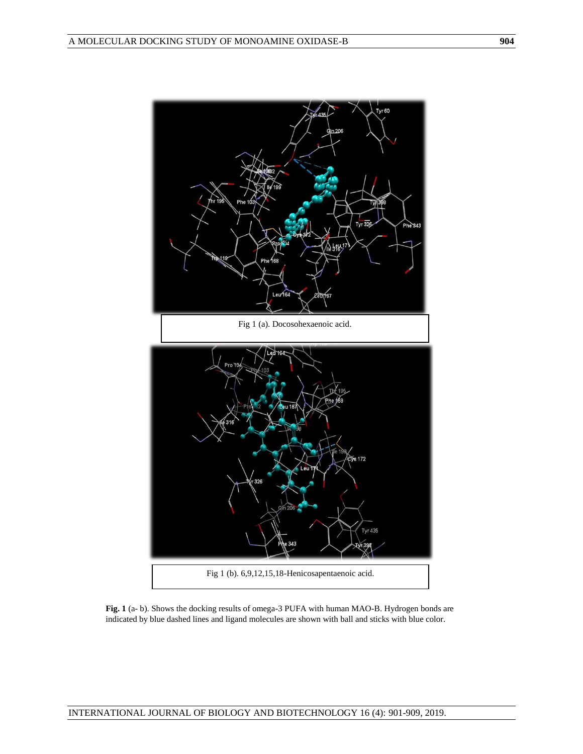

**Fig. 1** (a- b). Shows the docking results of omega-3 PUFA with human MAO-B. Hydrogen bonds are indicated by blue dashed lines and ligand molecules are shown with ball and sticks with blue color.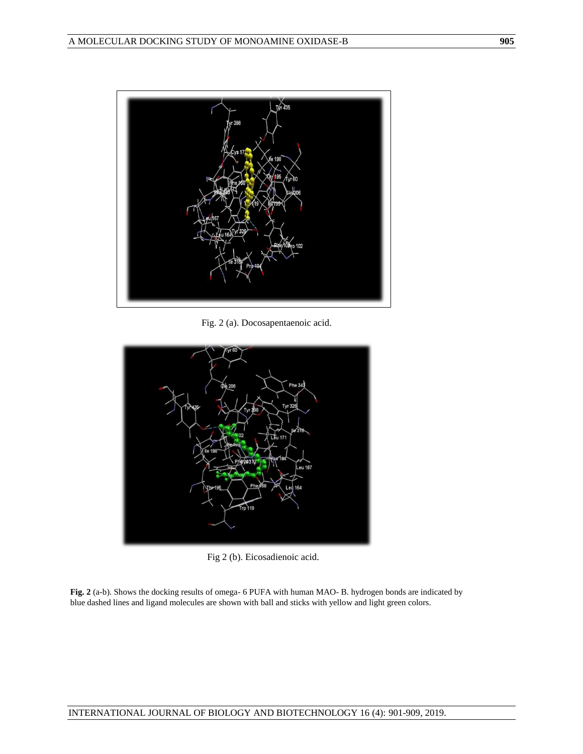

Fig. 2 (a). Docosapentaenoic acid.



Fig 2 (b). Eicosadienoic acid.

**Fig. 2** (a-b). Shows the docking results of omega- 6 PUFA with human MAO- B. hydrogen bonds are indicated by blue dashed lines and ligand molecules are shown with ball and sticks with yellow and light green colors.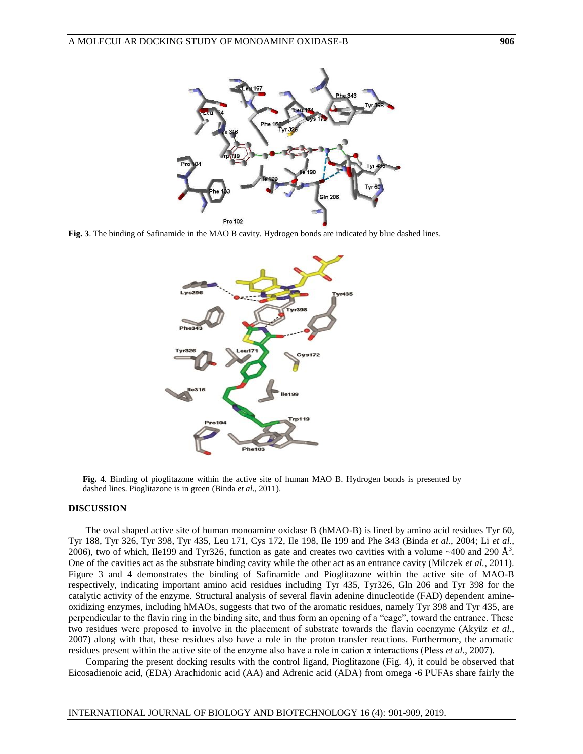

**Fig. 3**. The binding of Safinamide in the MAO B cavity. Hydrogen bonds are indicated by blue dashed lines.



**Fig. 4**. Binding of pioglitazone within the active site of human MAO B. Hydrogen bonds is presented by dashed lines. Pioglitazone is in green (Binda *et al*., 2011).

#### **DISCUSSION**

The oval shaped active site of human monoamine oxidase B (hMAO-B) is lined by amino acid residues Tyr 60, Tyr 188, Tyr 326, Tyr 398, Tyr 435, Leu 171, Cys 172, Ile 198, Ile 199 and Phe 343 (Binda *et al.*, 2004; Li *et al.*, 2006), two of which, Ile199 and Tyr326, function as gate and creates two cavities with a volume ~400 and 290  $\AA^3$ . One of the cavities act as the substrate binding cavity while the other act as an entrance cavity (Milczek *et al.*, 2011). Figure 3 and 4 demonstrates the binding of Safinamide and Pioglitazone within the active site of MAO-B respectively, indicating important amino acid residues including Tyr 435, Tyr326, Gln 206 and Tyr 398 for the catalytic activity of the enzyme. Structural analysis of several flavin adenine dinucleotide (FAD) dependent amineoxidizing enzymes, including hMAOs, suggests that two of the aromatic residues, namely Tyr 398 and Tyr 435, are perpendicular to the flavin ring in the binding site, and thus form an opening of a "cage", toward the entrance. These two residues were proposed to involve in the placement of substrate towards the flavin coenzyme (Akyüz et al., 2007) along with that, these residues also have a role in the proton transfer reactions. Furthermore, the aromatic residues present within the active site of the enzyme also have a role in cation π interactions (Pless *et al*., 2007).

Comparing the present docking results with the control ligand, Pioglitazone (Fig. 4), it could be observed that Eicosadienoic acid, (EDA) Arachidonic acid (AA) and Adrenic acid (ADA) from omega -6 PUFAs share fairly the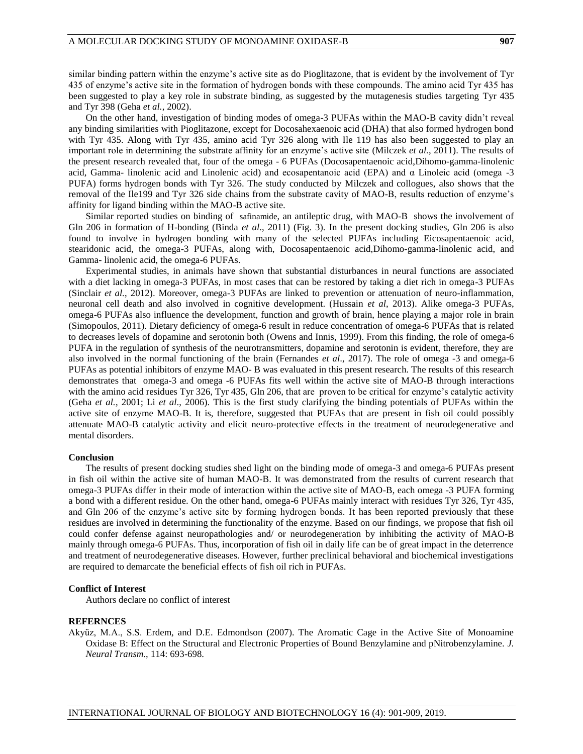similar binding pattern within the enzyme's active site as do Pioglitazone, that is evident by the involvement of Tyr 435 of enzyme's active site in the formation of hydrogen bonds with these compounds. The amino acid Tyr 435 has been suggested to play a key role in substrate binding, as suggested by the mutagenesis studies targeting Tyr 435 and Tyr 398 (Geha *et al.*, 2002).

On the other hand, investigation of binding modes of omega-3 PUFAs within the MAO-B cavity didn't reveal any binding similarities with Pioglitazone, except for Docosahexaenoic acid (DHA) that also formed hydrogen bond with Tyr 435. Along with Tyr 435, amino acid Tyr 326 along with Ile 119 has also been suggested to play an important role in determining the substrate affinity for an enzyme's active site (Milczek *et al.*, 2011). The results of the present research revealed that, four of the omega - 6 PUFAs (Docosapentaenoic acid,Dihomo-gamma-linolenic acid, Gamma- linolenic acid and Linolenic acid) and ecosapentanoic acid (EPA) and α Linoleic acid (omega -3 PUFA) forms hydrogen bonds with Tyr 326. The study conducted by Milczek and collogues, also shows that the removal of the Ile199 and Tyr 326 side chains from the substrate cavity of MAO-B, results reduction of enzyme's affinity for ligand binding within the MAO-B active site.

Similar reported studies on binding of safinamide, an antileptic drug, with MAO-B shows the involvement of Gln 206 in formation of H-bonding (Binda *et al*., 2011) (Fig. 3). In the present docking studies, Gln 206 is also found to involve in hydrogen bonding with many of the selected PUFAs including Eicosapentaenoic acid, stearidonic acid, the omega-3 PUFAs, along with, Docosapentaenoic acid,Dihomo-gamma-linolenic acid, and Gamma- linolenic acid, the omega-6 PUFAs.

Experimental studies, in animals have shown that substantial disturbances in neural functions are associated with a diet lacking in omega-3 PUFAs, in most cases that can be restored by taking a diet rich in omega-3 PUFAs (Sinclair *et al.*, 2012). Moreover, omega-3 PUFAs are linked to prevention or attenuation of neuro-inflammation, neuronal cell death and also involved in cognitive development. (Hussain *et al*, 2013). Alike omega-3 PUFAs, omega-6 PUFAs also influence the development, function and growth of brain, hence playing a major role in brain (Simopoulos, 2011). Dietary deficiency of omega-6 result in reduce concentration of omega-6 PUFAs that is related to decreases levels of dopamine and serotonin both (Owens and Innis, 1999). From this finding, the role of omega-6 PUFA in the regulation of synthesis of the neurotransmitters, dopamine and serotonin is evident, therefore, they are also involved in the normal functioning of the brain (Fernandes *et al*., 2017). The role of omega -3 and omega-6 PUFAs as potential inhibitors of enzyme MAO- B was evaluated in this present research. The results of this research demonstrates that omega-3 and omega -6 PUFAs fits well within the active site of MAO-B through interactions with the amino acid residues Tyr 326, Tyr 435, Gln 206, that are proven to be critical for enzyme's catalytic activity (Geha *et al.*, 2001; Li *et al*., 2006). This is the first study clarifying the binding potentials of PUFAs within the active site of enzyme MAO-B. It is, therefore, suggested that PUFAs that are present in fish oil could possibly attenuate MAO-B catalytic activity and elicit neuro-protective effects in the treatment of neurodegenerative and mental disorders.

#### **Conclusion**

The results of present docking studies shed light on the binding mode of omega-3 and omega-6 PUFAs present in fish oil within the active site of human MAO-B. It was demonstrated from the results of current research that omega-3 PUFAs differ in their mode of interaction within the active site of MAO-B, each omega -3 PUFA forming a bond with a different residue. On the other hand, omega-6 PUFAs mainly interact with residues Tyr 326, Tyr 435, and Gln 206 of the enzyme's active site by forming hydrogen bonds. It has been reported previously that these residues are involved in determining the functionality of the enzyme. Based on our findings, we propose that fish oil could confer defense against neuropathologies and/ or neurodegeneration by inhibiting the activity of MAO-B mainly through omega-6 PUFAs. Thus, incorporation of fish oil in daily life can be of great impact in the deterrence and treatment of neurodegenerative diseases. However, further preclinical behavioral and biochemical investigations are required to demarcate the beneficial effects of fish oil rich in PUFAs.

### **Conflict of Interest**

Authors declare no conflict of interest

#### **REFERNCES**

Akyüz, M.A., S.S. Erdem, and D.E. Edmondson (2007). The Aromatic Cage in the Active Site of Monoamine Oxidase B: Effect on the Structural and Electronic Properties of Bound Benzylamine and pNitrobenzylamine. *J. Neural Transm*., 114: 693-698.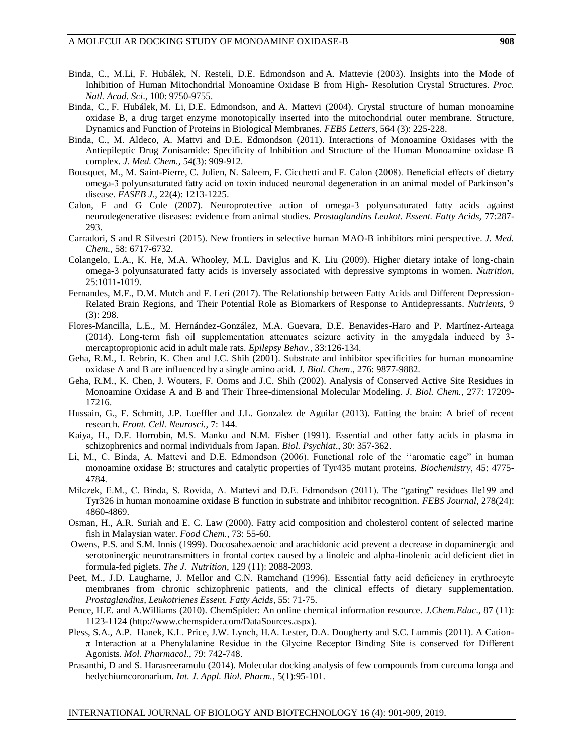- Binda, C., M.Li, F. Hubálek, N. Resteli, D.E. Edmondson and A. Mattevie (2003). Insights into the Mode of Inhibition of Human Mitochondrial Monoamine Oxidase B from High- Resolution Crystal Structures. *Proc. Natl. Acad. Sci*., 100: 9750-9755.
- Binda, C., F. Hubálek, M. Li, D.E. Edmondson, and A. Mattevi (2004). Crystal structure of human monoamine oxidase B, a drug target enzyme monotopically inserted into the mitochondrial outer membrane. Structure, Dynamics and Function of Proteins in Biological Membranes. *FEBS Letters,* [564](http://www.sciencedirect.com/science/journal/00145793/564/3) (3): 225-228.
- Binda, C., M. Aldeco, A. Mattvi and D.E. Edmondson (2011). Interactions of Monoamine Oxidases with the Antiepileptic Drug Zonisamide: Specificity of Inhibition and Structure of the Human Monoamine oxidase B complex. *J. Med. Chem.,* [54\(3\): 909-912.](https://www.ncbi.nlm.nih.gov/entrez/eutils/elink.fcgi?dbfrom=pubmed&retmode=ref&cmd=prlinks&id=21175212)
- Bousquet, M., M. Saint-Pierre, C. Julien, N. Saleem, F. Cicchetti and F. Calon (2008). Beneficial effects of dietary omega-3 polyunsaturated fatty acid on toxin induced neuronal degeneration in an animal model of Parkinson's disease. *FASEB J*., 22(4): 1213-1225.
- Calon, F and G Cole (2007). Neuroprotective action of omega-3 polyunsaturated fatty acids against neurodegenerative diseases: evidence from animal studies. *Prostaglandins Leukot. Essent. Fatty Acids,* 77:287- 293.
- Carradori, S and R Silvestri (2015). New frontiers in selective human MAO-B inhibitors mini perspective*. J. Med. Chem.,* 58: 6717-6732.
- Colangelo, L.A., K. He, M.A. Whooley, M.L. Daviglus and K. Liu (2009). Higher dietary intake of long-chain omega-3 polyunsaturated fatty acids is inversely associated with depressive symptoms in women. *Nutrition*, 25:1011-1019.
- Fernandes, M.F., D.M. Mutch and F. Leri (2017). The Relationship between Fatty Acids and Different Depression-Related Brain Regions, and Their Potential Role as Biomarkers of Response to Antidepressants. *Nutrients*, 9 (3): 298.
- Flores-Mancilla, L.E., M. Hernández-González, M.A. Guevara, D.E. Benavides-Haro and P. Martínez-Arteaga (2014). Long-term fish oil supplementation attenuates seizure activity in the amygdala induced by 3 mercaptopropionic acid in adult male rats*. Epilepsy Behav.,* 33:126-134.
- Geha, R.M., I. Rebrin, K. Chen and J.C. Shih (2001). Substrate and inhibitor specificities for human monoamine oxidase A and B are influenced by a single amino acid. *J. Biol. Chem*., 276: 9877-9882.
- Geha, R.M., K. Chen, J. Wouters, F. Ooms and J.C. Shih (2002). Analysis of Conserved Active Site Residues in Monoamine Oxidase A and B and Their Three-dimensional Molecular Modeling. *J. Biol. Chem.,* 277: 17209- 17216.
- Hussain, G., F. Schmitt, J.P. Loeffler and J.L. Gonzalez de Aguilar (2013). Fatting the brain: A brief of recent research. *Front. Cell. Neurosci.,* 7: 144.
- Kaiya, H., D.F. Horrobin, M.S. Manku and N.M. Fisher (1991). Essential and other fatty acids in plasma in schizophrenics and normal individuals from Japan. *Biol. Psychiat*., 30: 357-362.
- Li, M., C. Binda, A. Mattevi and D.E. Edmondson (2006). Functional role of the ''aromatic cage" in human monoamine oxidase B: structures and catalytic properties of Tyr435 mutant proteins. *Biochemistry,* 45: 4775- 4784.
- Milczek, E.M., C. Binda, S. Rovida, A. Mattevi and D.E. Edmondson (2011). The "gating" residues Ile199 and Tyr326 in human monoamine oxidase B function in substrate and inhibitor recognition. *FEBS Journal*, 278(24): 4860-4869.
- Osman, H., A.R. Suriah and E. C. Law (2000). Fatty acid composition and cholesterol content of selected marine fish in Malaysian water. *Food Chem.*, 73: 55-60.
- Owens, P.S. and S.M. Innis (1999). Docosahexaenoic and arachidonic acid prevent a decrease in dopaminergic and serotoninergic neurotransmitters in frontal cortex caused by a linoleic and alpha-linolenic acid deficient diet in formula-fed piglets. *The J. Nutrition*, 129 (11): 2088-2093.
- Peet, M., J.D. Laugharne, J. Mellor and C.N. Ramchand (1996). Essential fatty acid deficiency in erythrocyte membranes from chronic schizophrenic patients, and the clinical effects of dietary supplementation. *Prostaglandins, Leukotrienes Essent. Fatty Acids*, 55: 71-75.
- Pence, H.E. and A.Williams (2010). ChemSpider: An online chemical information resource. *J.Chem.Educ*., 87 (11): 1123-1124 [\(http://www.chemspider.com/DataSources.aspx\)](http://www.chemspider.com/DataSources.aspx).
- Pless, S.A., A.P. Hanek, K.L. Price, J.W. Lynch, H.A. Lester, D.A. Dougherty and S.C. Lummis (2011). A Cation- $\pi$  Interaction at a Phenylalanine Residue in the Glycine Receptor Binding Site is conserved for Different Agonists. *Mol. Pharmacol*., 79: 742-748.
- Prasanthi, D and S. Harasreeramulu (2014). Molecular docking analysis of few compounds from curcuma longa and hedychiumcoronarium. *Int. J. Appl. Biol. Pharm.*, 5(1):95-101.